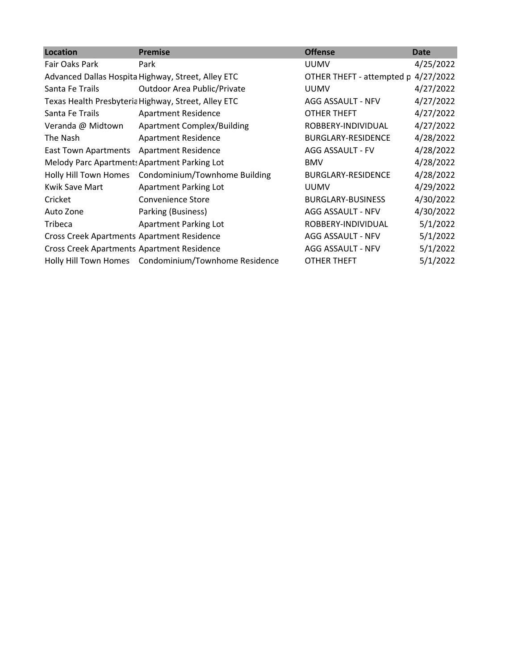| Location                                          | <b>Premise</b>                                       | <b>Offense</b>            | Date      |
|---------------------------------------------------|------------------------------------------------------|---------------------------|-----------|
| Fair Oaks Park                                    | Park                                                 | <b>UUMV</b>               | 4/25/2022 |
|                                                   | Advanced Dallas Hospita Highway, Street, Alley ETC   | OTHER THEFT - attempted p | 4/27/2022 |
| Santa Fe Trails                                   | <b>Outdoor Area Public/Private</b>                   | <b>UUMV</b>               | 4/27/2022 |
|                                                   | Texas Health Presbyteria Highway, Street, Alley ETC  | AGG ASSAULT - NFV         | 4/27/2022 |
| Santa Fe Trails                                   | <b>Apartment Residence</b>                           | OTHER THEFT               | 4/27/2022 |
| Veranda @ Midtown                                 | <b>Apartment Complex/Building</b>                    | ROBBERY-INDIVIDUAL        | 4/27/2022 |
| The Nash                                          | <b>Apartment Residence</b>                           | <b>BURGLARY-RESIDENCE</b> | 4/28/2022 |
| <b>East Town Apartments</b>                       | <b>Apartment Residence</b>                           | AGG ASSAULT - FV          | 4/28/2022 |
| Melody Parc Apartment: Apartment Parking Lot      |                                                      | <b>BMV</b>                | 4/28/2022 |
| Holly Hill Town Homes                             | Condominium/Townhome Building                        | BURGLARY-RESIDENCE        | 4/28/2022 |
| Kwik Save Mart                                    | Apartment Parking Lot                                | <b>UUMV</b>               | 4/29/2022 |
| Cricket                                           | Convenience Store                                    | <b>BURGLARY-BUSINESS</b>  | 4/30/2022 |
| Auto Zone                                         | Parking (Business)                                   | AGG ASSAULT - NFV         | 4/30/2022 |
| Tribeca                                           | Apartment Parking Lot                                | ROBBERY-INDIVIDUAL        | 5/1/2022  |
| <b>Cross Creek Apartments Apartment Residence</b> |                                                      | AGG ASSAULT - NFV         | 5/1/2022  |
| <b>Cross Creek Apartments Apartment Residence</b> |                                                      | AGG ASSAULT - NFV         | 5/1/2022  |
|                                                   | Holly Hill Town Homes Condominium/Townhome Residence | <b>OTHER THEFT</b>        | 5/1/2022  |